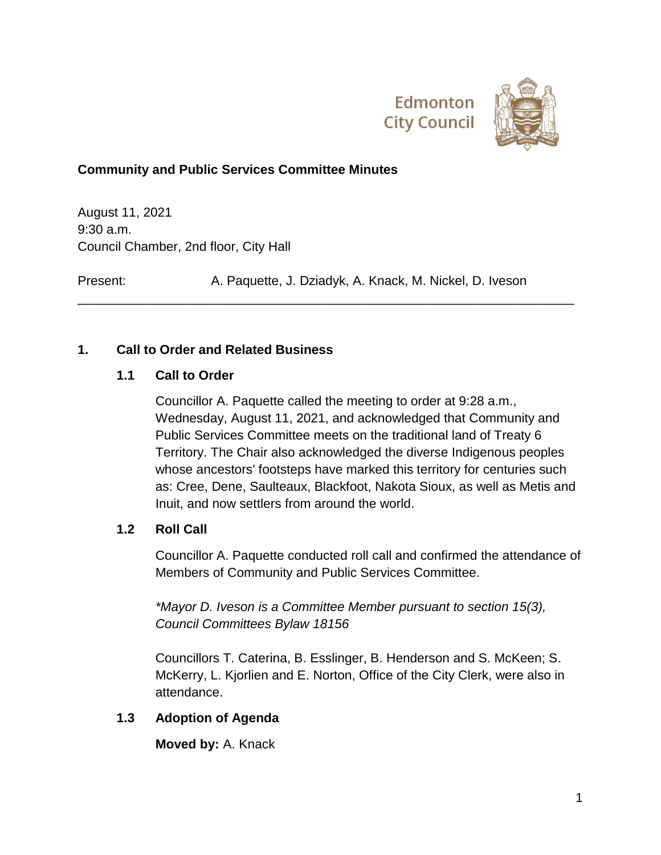



#### **Community and Public Services Committee Minutes**

August 11, 2021 9:30 a.m. Council Chamber, 2nd floor, City Hall

Present: A. Paquette, J. Dziadyk, A. Knack, M. Nickel, D. Iveson

\_\_\_\_\_\_\_\_\_\_\_\_\_\_\_\_\_\_\_\_\_\_\_\_\_\_\_\_\_\_\_\_\_\_\_\_\_\_\_\_\_\_\_\_\_\_\_\_\_\_\_\_\_\_\_\_\_\_\_\_\_\_\_\_\_\_\_\_\_

#### **1. Call to Order and Related Business**

#### **1.1 Call to Order**

Councillor A. Paquette called the meeting to order at 9:28 a.m., Wednesday, August 11, 2021, and acknowledged that Community and Public Services Committee meets on the traditional land of Treaty 6 Territory. The Chair also acknowledged the diverse Indigenous peoples whose ancestors' footsteps have marked this territory for centuries such as: Cree, Dene, Saulteaux, Blackfoot, Nakota Sioux, as well as Metis and Inuit, and now settlers from around the world.

#### **1.2 Roll Call**

Councillor A. Paquette conducted roll call and confirmed the attendance of Members of Community and Public Services Committee.

*\*Mayor D. Iveson is a Committee Member pursuant to section 15(3), Council Committees Bylaw 18156*

Councillors T. Caterina, B. Esslinger, B. Henderson and S. McKeen; S. McKerry, L. Kjorlien and E. Norton, Office of the City Clerk, were also in attendance.

### **1.3 Adoption of Agenda**

**Moved by:** A. Knack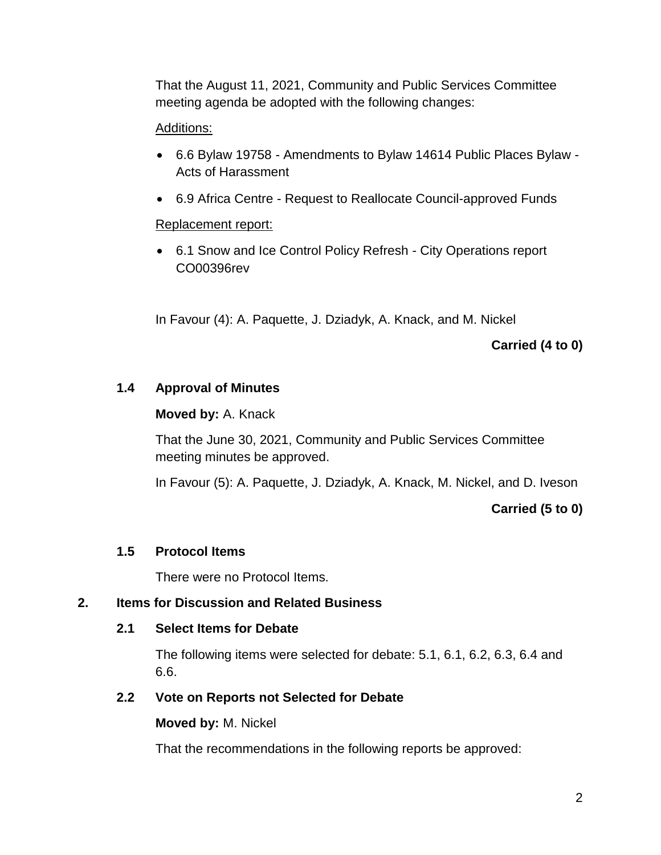That the August 11, 2021, Community and Public Services Committee meeting agenda be adopted with the following changes:

## Additions:

- 6.6 Bylaw 19758 Amendments to Bylaw 14614 Public Places Bylaw Acts of Harassment
- 6.9 Africa Centre Request to Reallocate Council-approved Funds

## Replacement report:

 6.1 Snow and Ice Control Policy Refresh - City Operations report CO00396rev

In Favour (4): A. Paquette, J. Dziadyk, A. Knack, and M. Nickel

**Carried (4 to 0)**

# **1.4 Approval of Minutes**

## **Moved by:** A. Knack

That the June 30, 2021, Community and Public Services Committee meeting minutes be approved.

In Favour (5): A. Paquette, J. Dziadyk, A. Knack, M. Nickel, and D. Iveson

**Carried (5 to 0)**

# **1.5 Protocol Items**

There were no Protocol Items.

### **2. Items for Discussion and Related Business**

### **2.1 Select Items for Debate**

The following items were selected for debate: 5.1, 6.1, 6.2, 6.3, 6.4 and 6.6.

### **2.2 Vote on Reports not Selected for Debate**

**Moved by:** M. Nickel

That the recommendations in the following reports be approved: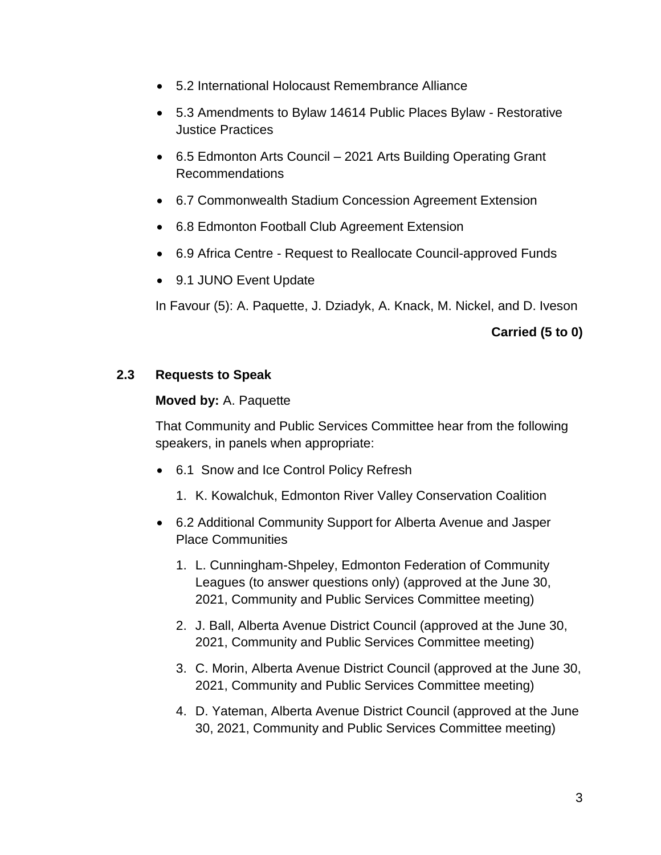- 5.2 International Holocaust Remembrance Alliance
- 5.3 Amendments to Bylaw 14614 Public Places Bylaw Restorative Justice Practices
- 6.5 Edmonton Arts Council 2021 Arts Building Operating Grant Recommendations
- 6.7 Commonwealth Stadium Concession Agreement Extension
- 6.8 Edmonton Football Club Agreement Extension
- 6.9 Africa Centre Request to Reallocate Council-approved Funds
- 9.1 JUNO Event Update

In Favour (5): A. Paquette, J. Dziadyk, A. Knack, M. Nickel, and D. Iveson

#### **Carried (5 to 0)**

#### **2.3 Requests to Speak**

#### **Moved by:** A. Paquette

That Community and Public Services Committee hear from the following speakers, in panels when appropriate:

- 6.1 Snow and Ice Control Policy Refresh
	- 1. K. Kowalchuk, Edmonton River Valley Conservation Coalition
- 6.2 Additional Community Support for Alberta Avenue and Jasper Place Communities
	- 1. L. Cunningham-Shpeley, Edmonton Federation of Community Leagues (to answer questions only) (approved at the June 30, 2021, Community and Public Services Committee meeting)
	- 2. J. Ball, Alberta Avenue District Council (approved at the June 30, 2021, Community and Public Services Committee meeting)
	- 3. C. Morin, Alberta Avenue District Council (approved at the June 30, 2021, Community and Public Services Committee meeting)
	- 4. D. Yateman, Alberta Avenue District Council (approved at the June 30, 2021, Community and Public Services Committee meeting)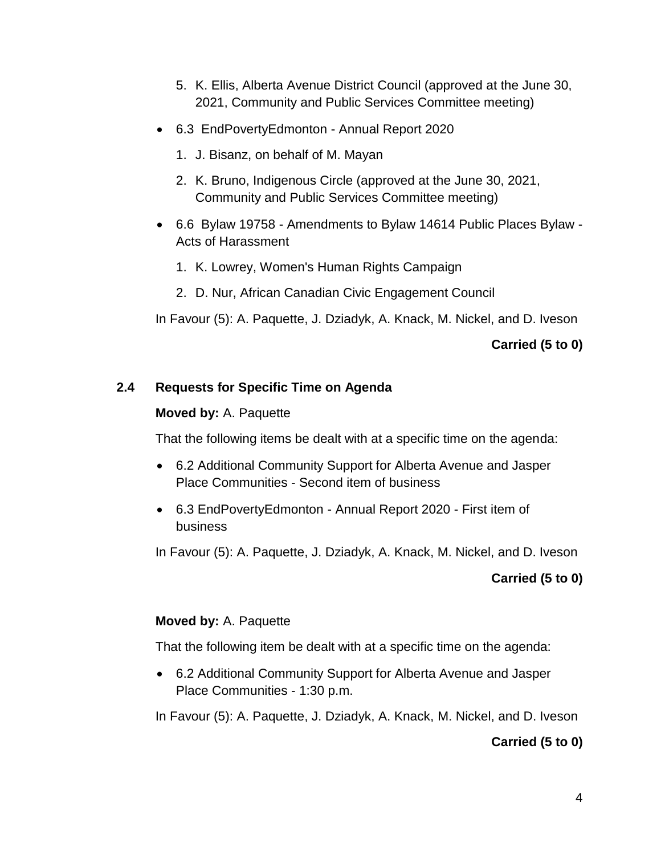- 5. K. Ellis, Alberta Avenue District Council (approved at the June 30, 2021, Community and Public Services Committee meeting)
- 6.3 EndPovertyEdmonton Annual Report 2020
	- 1. J. Bisanz, on behalf of M. Mayan
	- 2. K. Bruno, Indigenous Circle (approved at the June 30, 2021, Community and Public Services Committee meeting)
- 6.6 Bylaw 19758 Amendments to Bylaw 14614 Public Places Bylaw Acts of Harassment
	- 1. K. Lowrey, Women's Human Rights Campaign
	- 2. D. Nur, African Canadian Civic Engagement Council

In Favour (5): A. Paquette, J. Dziadyk, A. Knack, M. Nickel, and D. Iveson

**Carried (5 to 0)**

### **2.4 Requests for Specific Time on Agenda**

#### **Moved by:** A. Paquette

That the following items be dealt with at a specific time on the agenda:

- 6.2 Additional Community Support for Alberta Avenue and Jasper Place Communities - Second item of business
- 6.3 EndPovertyEdmonton Annual Report 2020 First item of business

In Favour (5): A. Paquette, J. Dziadyk, A. Knack, M. Nickel, and D. Iveson

### **Carried (5 to 0)**

### **Moved by:** A. Paquette

That the following item be dealt with at a specific time on the agenda:

 6.2 Additional Community Support for Alberta Avenue and Jasper Place Communities - 1:30 p.m.

In Favour (5): A. Paquette, J. Dziadyk, A. Knack, M. Nickel, and D. Iveson

**Carried (5 to 0)**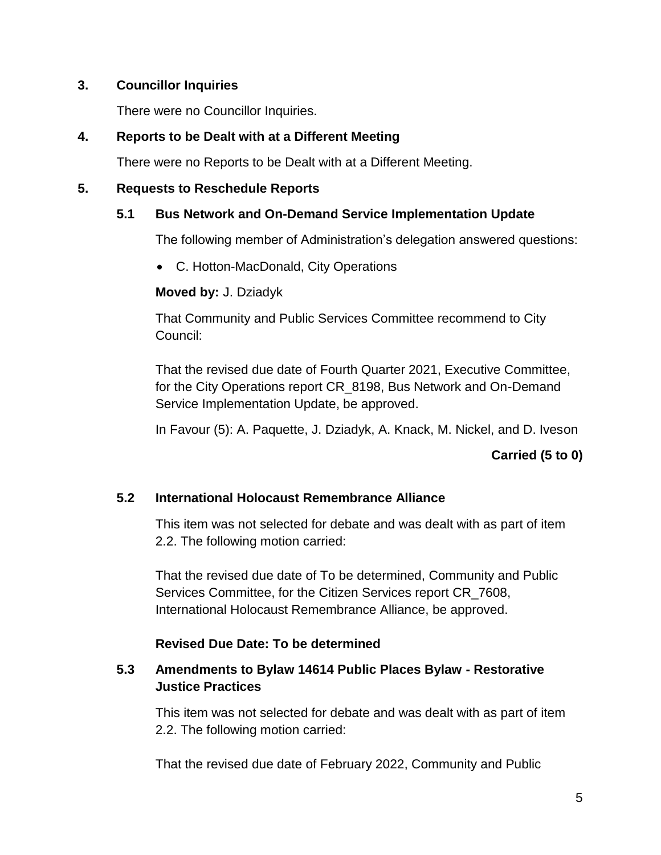### **3. Councillor Inquiries**

There were no Councillor Inquiries.

#### **4. Reports to be Dealt with at a Different Meeting**

There were no Reports to be Dealt with at a Different Meeting.

#### **5. Requests to Reschedule Reports**

#### **5.1 Bus Network and On-Demand Service Implementation Update**

The following member of Administration's delegation answered questions:

C. Hotton-MacDonald, City Operations

#### **Moved by:** J. Dziadyk

That Community and Public Services Committee recommend to City Council:

That the revised due date of Fourth Quarter 2021, Executive Committee, for the City Operations report CR\_8198, Bus Network and On-Demand Service Implementation Update, be approved.

In Favour (5): A. Paquette, J. Dziadyk, A. Knack, M. Nickel, and D. Iveson

### **Carried (5 to 0)**

### **5.2 International Holocaust Remembrance Alliance**

This item was not selected for debate and was dealt with as part of item 2.2. The following motion carried:

That the revised due date of To be determined, Community and Public Services Committee, for the Citizen Services report CR\_7608, International Holocaust Remembrance Alliance, be approved.

### **Revised Due Date: To be determined**

### **5.3 Amendments to Bylaw 14614 Public Places Bylaw - Restorative Justice Practices**

This item was not selected for debate and was dealt with as part of item 2.2. The following motion carried:

That the revised due date of February 2022, Community and Public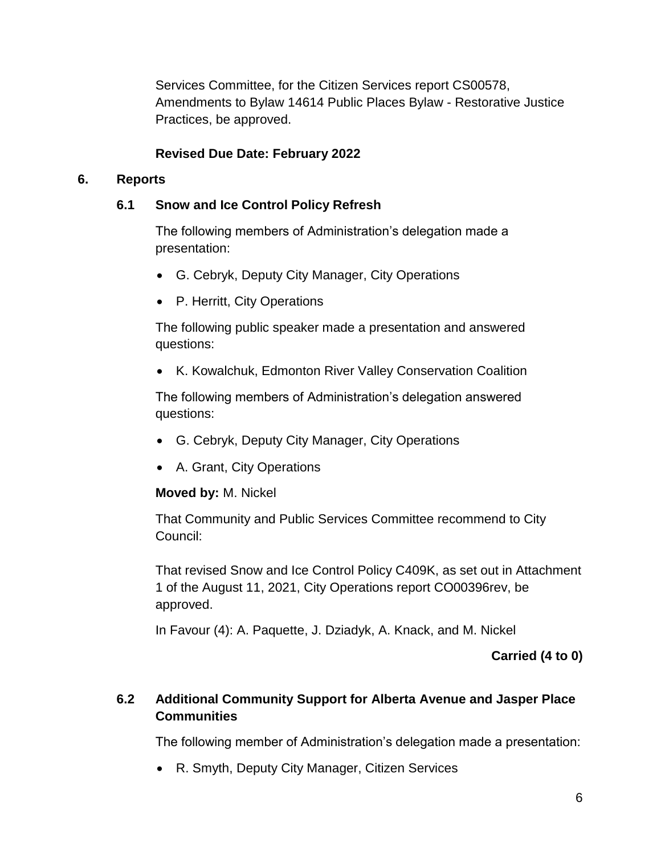Services Committee, for the Citizen Services report CS00578, Amendments to Bylaw 14614 Public Places Bylaw - Restorative Justice Practices, be approved.

### **Revised Due Date: February 2022**

#### **6. Reports**

### **6.1 Snow and Ice Control Policy Refresh**

The following members of Administration's delegation made a presentation:

- G. Cebryk, Deputy City Manager, City Operations
- P. Herritt, City Operations

The following public speaker made a presentation and answered questions:

• K. Kowalchuk, Edmonton River Valley Conservation Coalition

The following members of Administration's delegation answered questions:

- G. Cebryk, Deputy City Manager, City Operations
- A. Grant, City Operations

### **Moved by:** M. Nickel

That Community and Public Services Committee recommend to City Council:

That revised Snow and Ice Control Policy C409K, as set out in Attachment 1 of the August 11, 2021, City Operations report CO00396rev, be approved.

In Favour (4): A. Paquette, J. Dziadyk, A. Knack, and M. Nickel

**Carried (4 to 0)**

# **6.2 Additional Community Support for Alberta Avenue and Jasper Place Communities**

The following member of Administration's delegation made a presentation:

R. Smyth, Deputy City Manager, Citizen Services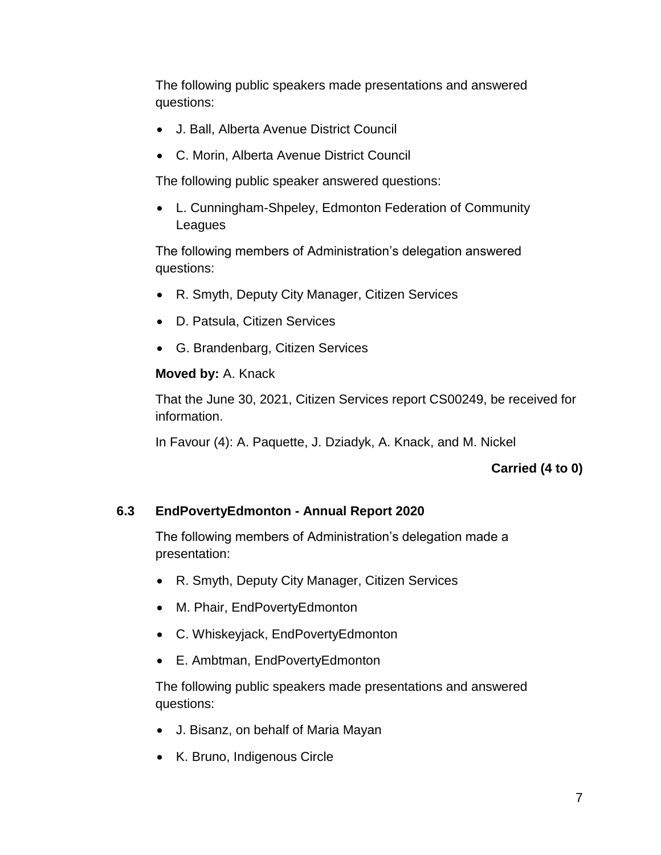The following public speakers made presentations and answered questions:

- J. Ball, Alberta Avenue District Council
- C. Morin, Alberta Avenue District Council

The following public speaker answered questions:

 L. Cunningham-Shpeley, Edmonton Federation of Community Leagues

The following members of Administration's delegation answered questions:

- R. Smyth, Deputy City Manager, Citizen Services
- D. Patsula, Citizen Services
- G. Brandenbarg, Citizen Services

#### **Moved by:** A. Knack

That the June 30, 2021, Citizen Services report CS00249, be received for information.

In Favour (4): A. Paquette, J. Dziadyk, A. Knack, and M. Nickel

### **Carried (4 to 0)**

### **6.3 EndPovertyEdmonton - Annual Report 2020**

The following members of Administration's delegation made a presentation:

- R. Smyth, Deputy City Manager, Citizen Services
- M. Phair, EndPovertyEdmonton
- C. Whiskeyjack, EndPovertyEdmonton
- E. Ambtman, EndPovertyEdmonton

The following public speakers made presentations and answered questions:

- J. Bisanz, on behalf of Maria Mayan
- K. Bruno, Indigenous Circle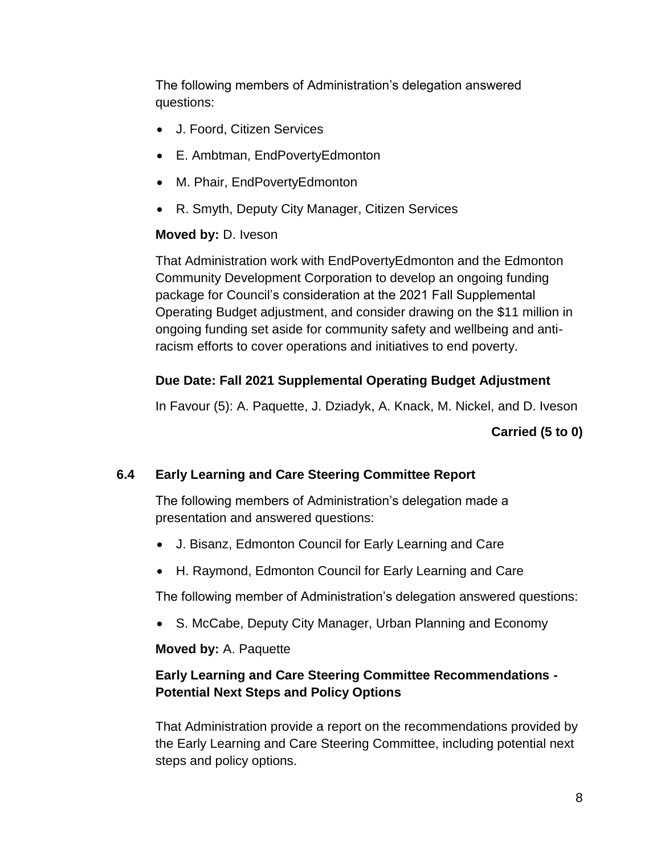The following members of Administration's delegation answered questions:

- J. Foord, Citizen Services
- E. Ambtman, EndPovertyEdmonton
- M. Phair, EndPovertyEdmonton
- R. Smyth, Deputy City Manager, Citizen Services

### **Moved by:** D. Iveson

That Administration work with EndPovertyEdmonton and the Edmonton Community Development Corporation to develop an ongoing funding package for Council's consideration at the 2021 Fall Supplemental Operating Budget adjustment, and consider drawing on the \$11 million in ongoing funding set aside for community safety and wellbeing and antiracism efforts to cover operations and initiatives to end poverty.

# **Due Date: Fall 2021 Supplemental Operating Budget Adjustment**

In Favour (5): A. Paquette, J. Dziadyk, A. Knack, M. Nickel, and D. Iveson

# **Carried (5 to 0)**

# **6.4 Early Learning and Care Steering Committee Report**

The following members of Administration's delegation made a presentation and answered questions:

- J. Bisanz, Edmonton Council for Early Learning and Care
- H. Raymond, Edmonton Council for Early Learning and Care

The following member of Administration's delegation answered questions:

S. McCabe, Deputy City Manager, Urban Planning and Economy

### **Moved by:** A. Paquette

# **Early Learning and Care Steering Committee Recommendations - Potential Next Steps and Policy Options**

That Administration provide a report on the recommendations provided by the Early Learning and Care Steering Committee, including potential next steps and policy options.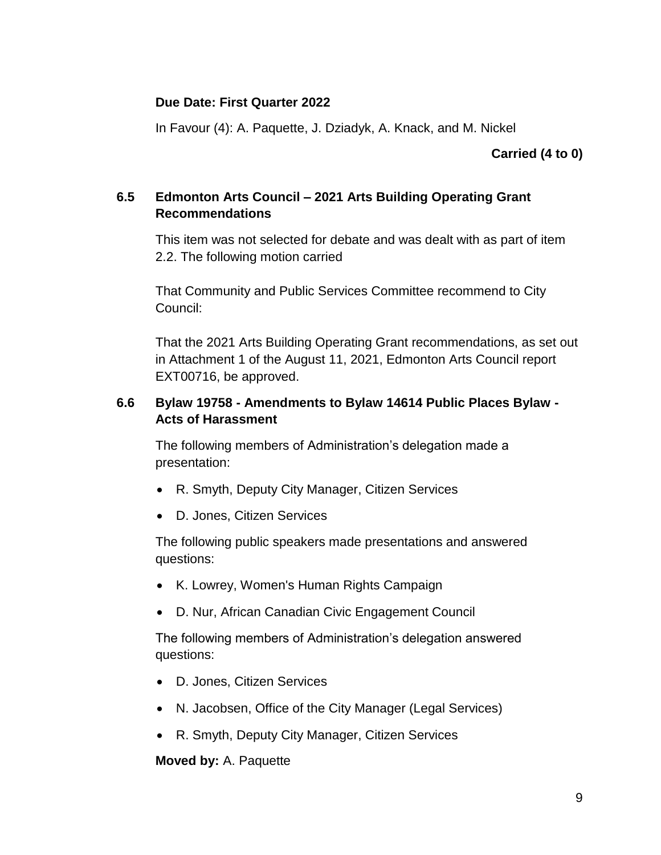#### **Due Date: First Quarter 2022**

In Favour (4): A. Paquette, J. Dziadyk, A. Knack, and M. Nickel

**Carried (4 to 0)**

# **6.5 Edmonton Arts Council – 2021 Arts Building Operating Grant Recommendations**

This item was not selected for debate and was dealt with as part of item 2.2. The following motion carried

That Community and Public Services Committee recommend to City Council:

That the 2021 Arts Building Operating Grant recommendations, as set out in Attachment 1 of the August 11, 2021, Edmonton Arts Council report EXT00716, be approved.

## **6.6 Bylaw 19758 - Amendments to Bylaw 14614 Public Places Bylaw - Acts of Harassment**

The following members of Administration's delegation made a presentation:

- R. Smyth, Deputy City Manager, Citizen Services
- D. Jones, Citizen Services

The following public speakers made presentations and answered questions:

- K. Lowrey, Women's Human Rights Campaign
- D. Nur, African Canadian Civic Engagement Council

The following members of Administration's delegation answered questions:

- D. Jones, Citizen Services
- N. Jacobsen, Office of the City Manager (Legal Services)
- R. Smyth, Deputy City Manager, Citizen Services

**Moved by:** A. Paquette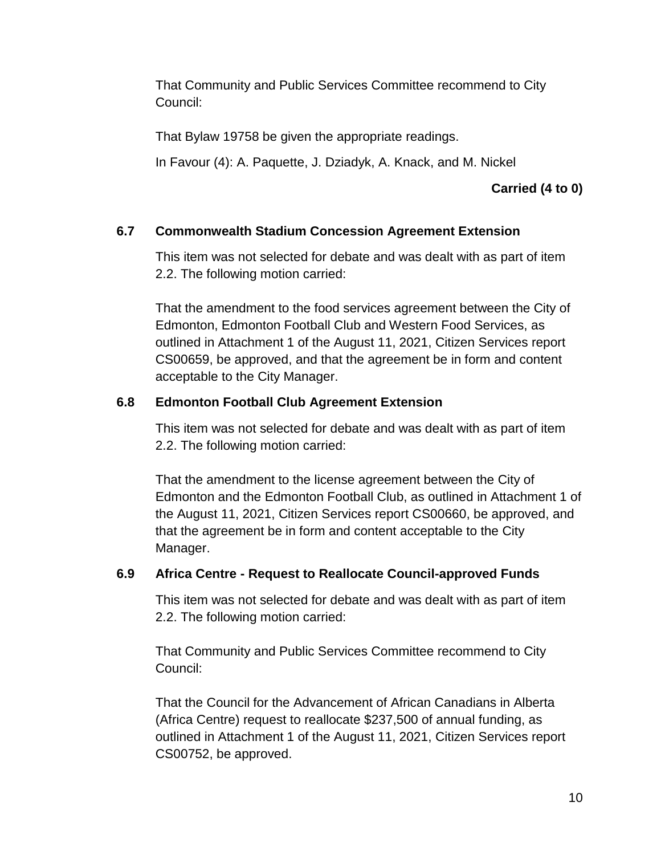That Community and Public Services Committee recommend to City Council:

That Bylaw 19758 be given the appropriate readings.

In Favour (4): A. Paquette, J. Dziadyk, A. Knack, and M. Nickel

**Carried (4 to 0)**

# **6.7 Commonwealth Stadium Concession Agreement Extension**

This item was not selected for debate and was dealt with as part of item 2.2. The following motion carried:

That the amendment to the food services agreement between the City of Edmonton, Edmonton Football Club and Western Food Services, as outlined in Attachment 1 of the August 11, 2021, Citizen Services report CS00659, be approved, and that the agreement be in form and content acceptable to the City Manager.

## **6.8 Edmonton Football Club Agreement Extension**

This item was not selected for debate and was dealt with as part of item 2.2. The following motion carried:

That the amendment to the license agreement between the City of Edmonton and the Edmonton Football Club, as outlined in Attachment 1 of the August 11, 2021, Citizen Services report CS00660, be approved, and that the agreement be in form and content acceptable to the City Manager.

### **6.9 Africa Centre - Request to Reallocate Council-approved Funds**

This item was not selected for debate and was dealt with as part of item 2.2. The following motion carried:

That Community and Public Services Committee recommend to City Council:

That the Council for the Advancement of African Canadians in Alberta (Africa Centre) request to reallocate \$237,500 of annual funding, as outlined in Attachment 1 of the August 11, 2021, Citizen Services report CS00752, be approved.